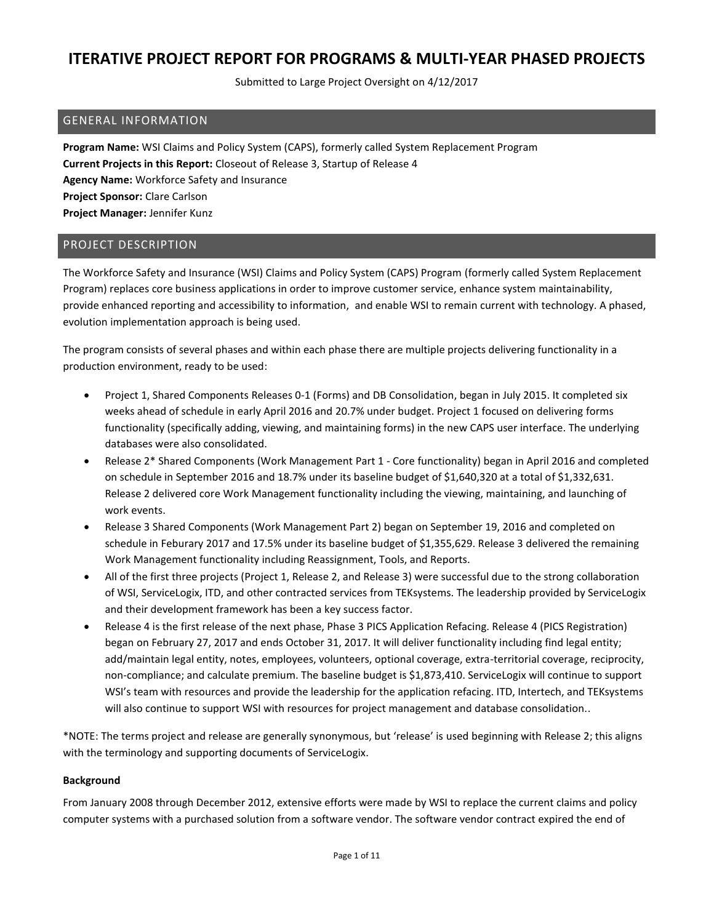Submitted to Large Project Oversight on 4/12/2017

### GENERAL INFORMATION

**Program Name:** WSI Claims and Policy System (CAPS), formerly called System Replacement Program **Current Projects in this Report:** Closeout of Release 3, Startup of Release 4 **Agency Name:** Workforce Safety and Insurance **Project Sponsor:** Clare Carlson **Project Manager:** Jennifer Kunz

## PROJECT DESCRIPTION

The Workforce Safety and Insurance (WSI) Claims and Policy System (CAPS) Program (formerly called System Replacement Program) replaces core business applications in order to improve customer service, enhance system maintainability, provide enhanced reporting and accessibility to information, and enable WSI to remain current with technology. A phased, evolution implementation approach is being used.

The program consists of several phases and within each phase there are multiple projects delivering functionality in a production environment, ready to be used:

- Project 1, Shared Components Releases 0-1 (Forms) and DB Consolidation, began in July 2015. It completed six weeks ahead of schedule in early April 2016 and 20.7% under budget. Project 1 focused on delivering forms functionality (specifically adding, viewing, and maintaining forms) in the new CAPS user interface. The underlying databases were also consolidated.
- Release 2\* Shared Components (Work Management Part 1 Core functionality) began in April 2016 and completed on schedule in September 2016 and 18.7% under its baseline budget of \$1,640,320 at a total of \$1,332,631. Release 2 delivered core Work Management functionality including the viewing, maintaining, and launching of work events.
- Release 3 Shared Components (Work Management Part 2) began on September 19, 2016 and completed on schedule in Feburary 2017 and 17.5% under its baseline budget of \$1,355,629. Release 3 delivered the remaining Work Management functionality including Reassignment, Tools, and Reports.
- All of the first three projects (Project 1, Release 2, and Release 3) were successful due to the strong collaboration of WSI, ServiceLogix, ITD, and other contracted services from TEKsystems. The leadership provided by ServiceLogix and their development framework has been a key success factor.
- Release 4 is the first release of the next phase, Phase 3 PICS Application Refacing. Release 4 (PICS Registration) began on February 27, 2017 and ends October 31, 2017. It will deliver functionality including find legal entity; add/maintain legal entity, notes, employees, volunteers, optional coverage, extra-territorial coverage, reciprocity, non-compliance; and calculate premium. The baseline budget is \$1,873,410. ServiceLogix will continue to support WSI's team with resources and provide the leadership for the application refacing. ITD, Intertech, and TEKsystems will also continue to support WSI with resources for project management and database consolidation..

\*NOTE: The terms project and release are generally synonymous, but 'release' is used beginning with Release 2; this aligns with the terminology and supporting documents of ServiceLogix.

#### **Background**

From January 2008 through December 2012, extensive efforts were made by WSI to replace the current claims and policy computer systems with a purchased solution from a software vendor. The software vendor contract expired the end of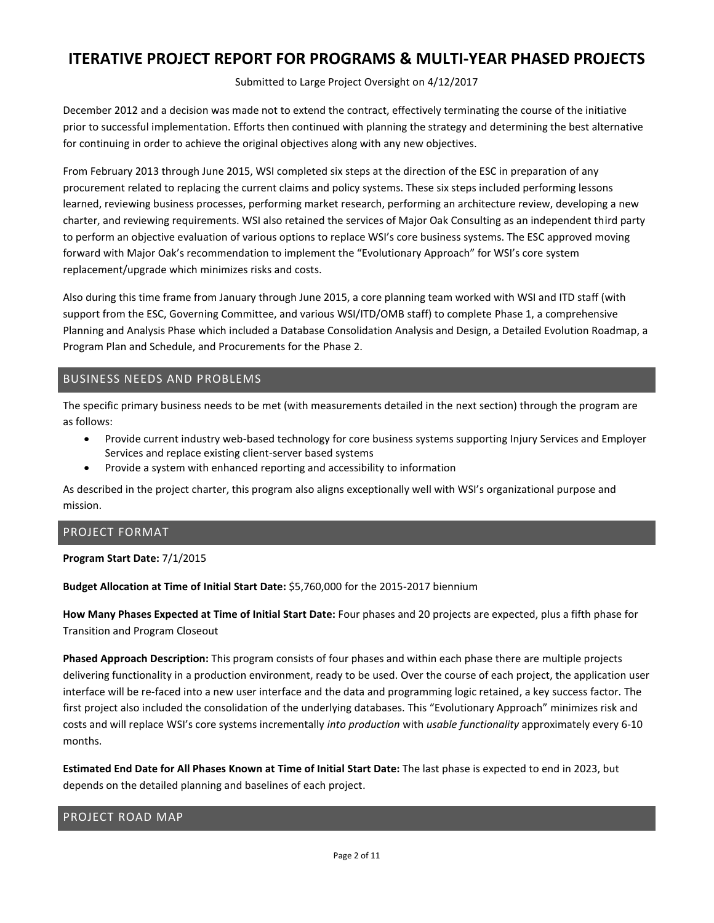Submitted to Large Project Oversight on 4/12/2017

December 2012 and a decision was made not to extend the contract, effectively terminating the course of the initiative prior to successful implementation. Efforts then continued with planning the strategy and determining the best alternative for continuing in order to achieve the original objectives along with any new objectives.

From February 2013 through June 2015, WSI completed six steps at the direction of the ESC in preparation of any procurement related to replacing the current claims and policy systems. These six steps included performing lessons learned, reviewing business processes, performing market research, performing an architecture review, developing a new charter, and reviewing requirements. WSI also retained the services of Major Oak Consulting as an independent third party to perform an objective evaluation of various options to replace WSI's core business systems. The ESC approved moving forward with Major Oak's recommendation to implement the "Evolutionary Approach" for WSI's core system replacement/upgrade which minimizes risks and costs.

Also during this time frame from January through June 2015, a core planning team worked with WSI and ITD staff (with support from the ESC, Governing Committee, and various WSI/ITD/OMB staff) to complete Phase 1, a comprehensive Planning and Analysis Phase which included a Database Consolidation Analysis and Design, a Detailed Evolution Roadmap, a Program Plan and Schedule, and Procurements for the Phase 2.

## BUSINESS NEEDS AND PROBLEMS

The specific primary business needs to be met (with measurements detailed in the next section) through the program are as follows:

- Provide current industry web-based technology for core business systems supporting Injury Services and Employer Services and replace existing client-server based systems
- Provide a system with enhanced reporting and accessibility to information

As described in the project charter, this program also aligns exceptionally well with WSI's organizational purpose and mission.

## PROJECT FORMAT

#### **Program Start Date:** 7/1/2015

#### **Budget Allocation at Time of Initial Start Date:** \$5,760,000 for the 2015-2017 biennium

**How Many Phases Expected at Time of Initial Start Date:** Four phases and 20 projects are expected, plus a fifth phase for Transition and Program Closeout

**Phased Approach Description:** This program consists of four phases and within each phase there are multiple projects delivering functionality in a production environment, ready to be used. Over the course of each project, the application user interface will be re-faced into a new user interface and the data and programming logic retained, a key success factor. The first project also included the consolidation of the underlying databases. This "Evolutionary Approach" minimizes risk and costs and will replace WSI's core systems incrementally *into production* with *usable functionality* approximately every 6-10 months.

**Estimated End Date for All Phases Known at Time of Initial Start Date:** The last phase is expected to end in 2023, but depends on the detailed planning and baselines of each project.

### PROJECT ROAD MAP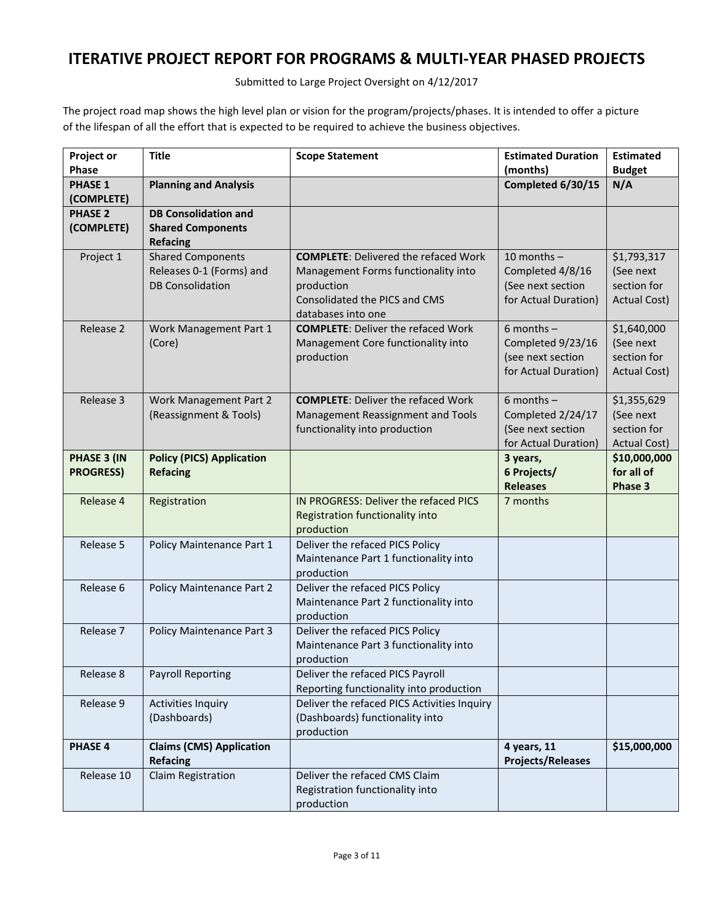Submitted to Large Project Oversight on 4/12/2017

The project road map shows the high level plan or vision for the program/projects/phases. It is intended to offer a picture of the lifespan of all the effort that is expected to be required to achieve the business objectives.

| Project or       | <b>Title</b>                                       | <b>Scope Statement</b>                              | <b>Estimated Duration</b>               | <b>Estimated</b>    |
|------------------|----------------------------------------------------|-----------------------------------------------------|-----------------------------------------|---------------------|
| <b>Phase</b>     |                                                    |                                                     | (months)                                | <b>Budget</b>       |
| <b>PHASE 1</b>   | <b>Planning and Analysis</b>                       |                                                     | Completed 6/30/15                       | N/A                 |
| (COMPLETE)       |                                                    |                                                     |                                         |                     |
| <b>PHASE 2</b>   | <b>DB Consolidation and</b>                        |                                                     |                                         |                     |
| (COMPLETE)       | <b>Shared Components</b>                           |                                                     |                                         |                     |
|                  | <b>Refacing</b>                                    |                                                     |                                         |                     |
| Project 1        | <b>Shared Components</b>                           | <b>COMPLETE: Delivered the refaced Work</b>         | 10 months $-$                           | \$1,793,317         |
|                  | Releases 0-1 (Forms) and                           | Management Forms functionality into                 | Completed 4/8/16                        | (See next           |
|                  | <b>DB Consolidation</b>                            | production                                          | (See next section                       | section for         |
|                  |                                                    | Consolidated the PICS and CMS<br>databases into one | for Actual Duration)                    | <b>Actual Cost)</b> |
| Release 2        | Work Management Part 1                             | <b>COMPLETE: Deliver the refaced Work</b>           | $6$ months $-$                          | \$1,640,000         |
|                  | (Core)                                             | Management Core functionality into                  | Completed 9/23/16                       | (See next           |
|                  |                                                    | production                                          | (see next section                       | section for         |
|                  |                                                    |                                                     | for Actual Duration)                    | <b>Actual Cost)</b> |
|                  |                                                    |                                                     |                                         |                     |
| Release 3        | Work Management Part 2                             | <b>COMPLETE: Deliver the refaced Work</b>           | 6 months $-$                            | \$1,355,629         |
|                  | (Reassignment & Tools)                             | Management Reassignment and Tools                   | Completed 2/24/17                       | (See next           |
|                  |                                                    | functionality into production                       | (See next section                       | section for         |
|                  |                                                    |                                                     | for Actual Duration)                    | <b>Actual Cost)</b> |
| PHASE 3 (IN      | <b>Policy (PICS) Application</b>                   |                                                     | 3 years,                                | \$10,000,000        |
| <b>PROGRESS)</b> | <b>Refacing</b>                                    |                                                     | 6 Projects/                             | for all of          |
|                  |                                                    |                                                     | <b>Releases</b>                         | Phase 3             |
| Release 4        | Registration                                       | IN PROGRESS: Deliver the refaced PICS               | 7 months                                |                     |
|                  |                                                    | Registration functionality into                     |                                         |                     |
| Release 5        | Policy Maintenance Part 1                          | production<br>Deliver the refaced PICS Policy       |                                         |                     |
|                  |                                                    | Maintenance Part 1 functionality into               |                                         |                     |
|                  |                                                    | production                                          |                                         |                     |
| Release 6        | Policy Maintenance Part 2                          | Deliver the refaced PICS Policy                     |                                         |                     |
|                  |                                                    | Maintenance Part 2 functionality into               |                                         |                     |
|                  |                                                    | production                                          |                                         |                     |
| Release 7        | Policy Maintenance Part 3                          | Deliver the refaced PICS Policy                     |                                         |                     |
|                  |                                                    | Maintenance Part 3 functionality into               |                                         |                     |
|                  |                                                    | production                                          |                                         |                     |
| Release 8        | <b>Payroll Reporting</b>                           | Deliver the refaced PICS Payroll                    |                                         |                     |
|                  |                                                    | Reporting functionality into production             |                                         |                     |
| Release 9        | <b>Activities Inquiry</b>                          | Deliver the refaced PICS Activities Inquiry         |                                         |                     |
|                  | (Dashboards)                                       | (Dashboards) functionality into                     |                                         |                     |
|                  |                                                    | production                                          |                                         |                     |
| <b>PHASE 4</b>   | <b>Claims (CMS) Application</b><br><b>Refacing</b> |                                                     | 4 years, 11<br><b>Projects/Releases</b> | \$15,000,000        |
| Release 10       | Claim Registration                                 | Deliver the refaced CMS Claim                       |                                         |                     |
|                  |                                                    | Registration functionality into                     |                                         |                     |
|                  |                                                    | production                                          |                                         |                     |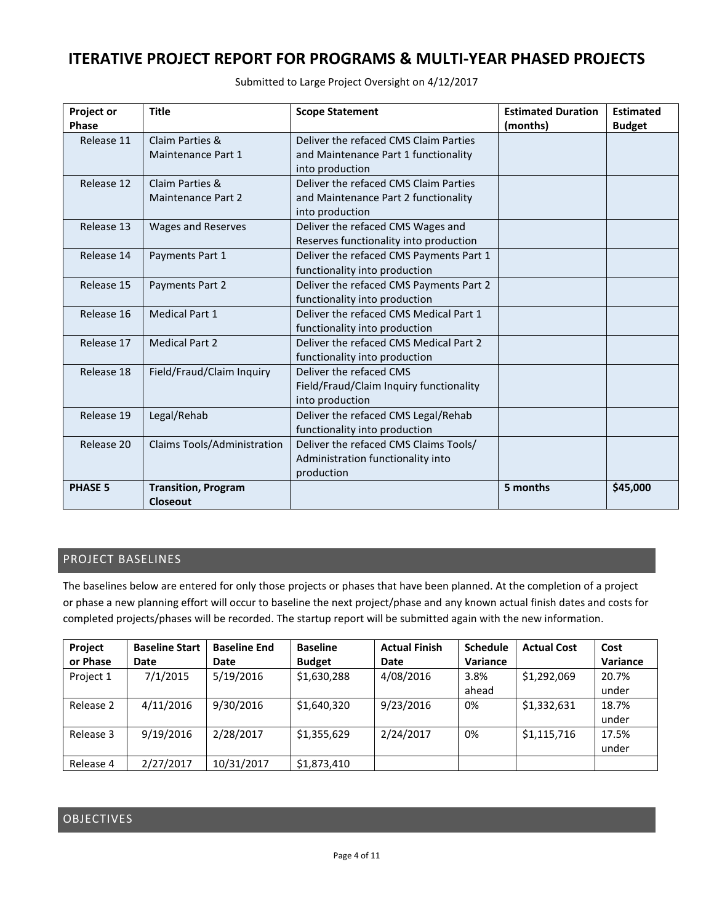| <b>Project or</b> | <b>Title</b>                | <b>Scope Statement</b>                  | <b>Estimated Duration</b> | <b>Estimated</b> |
|-------------------|-----------------------------|-----------------------------------------|---------------------------|------------------|
| <b>Phase</b>      |                             |                                         | (months)                  | <b>Budget</b>    |
| Release 11        | Claim Parties &             | Deliver the refaced CMS Claim Parties   |                           |                  |
|                   | Maintenance Part 1          | and Maintenance Part 1 functionality    |                           |                  |
|                   |                             | into production                         |                           |                  |
| Release 12        | Claim Parties &             | Deliver the refaced CMS Claim Parties   |                           |                  |
|                   | <b>Maintenance Part 2</b>   | and Maintenance Part 2 functionality    |                           |                  |
|                   |                             | into production                         |                           |                  |
| Release 13        | Wages and Reserves          | Deliver the refaced CMS Wages and       |                           |                  |
|                   |                             | Reserves functionality into production  |                           |                  |
| Release 14        | Payments Part 1             | Deliver the refaced CMS Payments Part 1 |                           |                  |
|                   |                             | functionality into production           |                           |                  |
| Release 15        | Payments Part 2             | Deliver the refaced CMS Payments Part 2 |                           |                  |
|                   |                             | functionality into production           |                           |                  |
| Release 16        | <b>Medical Part 1</b>       | Deliver the refaced CMS Medical Part 1  |                           |                  |
|                   |                             | functionality into production           |                           |                  |
| Release 17        | <b>Medical Part 2</b>       | Deliver the refaced CMS Medical Part 2  |                           |                  |
|                   |                             | functionality into production           |                           |                  |
| Release 18        | Field/Fraud/Claim Inquiry   | Deliver the refaced CMS                 |                           |                  |
|                   |                             | Field/Fraud/Claim Inquiry functionality |                           |                  |
|                   |                             | into production                         |                           |                  |
| Release 19        | Legal/Rehab                 | Deliver the refaced CMS Legal/Rehab     |                           |                  |
|                   |                             | functionality into production           |                           |                  |
| Release 20        | Claims Tools/Administration | Deliver the refaced CMS Claims Tools/   |                           |                  |
|                   |                             | Administration functionality into       |                           |                  |
|                   |                             | production                              |                           |                  |
| <b>PHASE 5</b>    | <b>Transition, Program</b>  |                                         | 5 months                  | \$45,000         |
|                   | Closeout                    |                                         |                           |                  |

Submitted to Large Project Oversight on 4/12/2017

## PROJECT BASELINES

The baselines below are entered for only those projects or phases that have been planned. At the completion of a project or phase a new planning effort will occur to baseline the next project/phase and any known actual finish dates and costs for completed projects/phases will be recorded. The startup report will be submitted again with the new information.

| Project   | <b>Baseline Start</b> | <b>Baseline End</b> | <b>Baseline</b> | <b>Actual Finish</b> | <b>Schedule</b> | <b>Actual Cost</b> | Cost     |
|-----------|-----------------------|---------------------|-----------------|----------------------|-----------------|--------------------|----------|
| or Phase  | Date                  | Date                | <b>Budget</b>   | Date                 | Variance        |                    | Variance |
| Project 1 | 7/1/2015              | 5/19/2016           | \$1,630,288     | 4/08/2016            | 3.8%            | \$1,292,069        | 20.7%    |
|           |                       |                     |                 |                      | ahead           |                    | under    |
| Release 2 | 4/11/2016             | 9/30/2016           | \$1,640,320     | 9/23/2016            | 0%              | \$1,332,631        | 18.7%    |
|           |                       |                     |                 |                      |                 |                    | under    |
| Release 3 | 9/19/2016             | 2/28/2017           | \$1,355,629     | 2/24/2017            | 0%              | \$1,115,716        | 17.5%    |
|           |                       |                     |                 |                      |                 |                    | under    |
| Release 4 | 2/27/2017             | 10/31/2017          | \$1,873,410     |                      |                 |                    |          |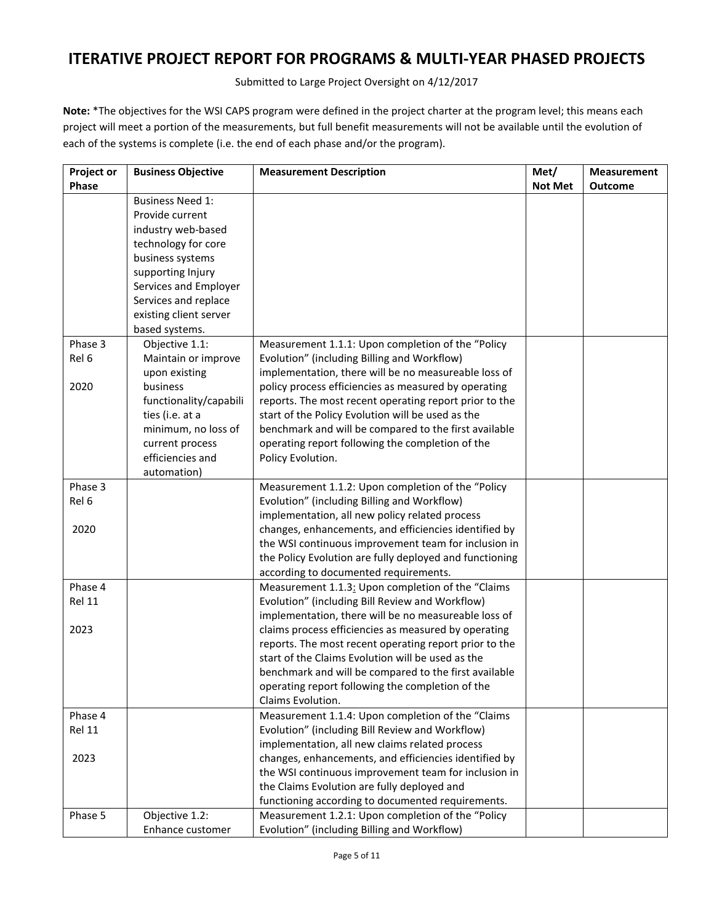Submitted to Large Project Oversight on 4/12/2017

**Note:** \*The objectives for the WSI CAPS program were defined in the project charter at the program level; this means each project will meet a portion of the measurements, but full benefit measurements will not be available until the evolution of each of the systems is complete (i.e. the end of each phase and/or the program).

| Project or | <b>Business Objective</b> | <b>Measurement Description</b>                          | Met/           | <b>Measurement</b> |
|------------|---------------------------|---------------------------------------------------------|----------------|--------------------|
| Phase      |                           |                                                         | <b>Not Met</b> | <b>Outcome</b>     |
|            | <b>Business Need 1:</b>   |                                                         |                |                    |
|            | Provide current           |                                                         |                |                    |
|            | industry web-based        |                                                         |                |                    |
|            | technology for core       |                                                         |                |                    |
|            | business systems          |                                                         |                |                    |
|            | supporting Injury         |                                                         |                |                    |
|            | Services and Employer     |                                                         |                |                    |
|            | Services and replace      |                                                         |                |                    |
|            | existing client server    |                                                         |                |                    |
|            | based systems.            |                                                         |                |                    |
| Phase 3    | Objective 1.1:            | Measurement 1.1.1: Upon completion of the "Policy       |                |                    |
| Rel 6      | Maintain or improve       | Evolution" (including Billing and Workflow)             |                |                    |
|            | upon existing             | implementation, there will be no measureable loss of    |                |                    |
| 2020       | business                  | policy process efficiencies as measured by operating    |                |                    |
|            | functionality/capabili    | reports. The most recent operating report prior to the  |                |                    |
|            | ties (i.e. at a           | start of the Policy Evolution will be used as the       |                |                    |
|            | minimum, no loss of       | benchmark and will be compared to the first available   |                |                    |
|            | current process           | operating report following the completion of the        |                |                    |
|            | efficiencies and          | Policy Evolution.                                       |                |                    |
|            | automation)               |                                                         |                |                    |
| Phase 3    |                           | Measurement 1.1.2: Upon completion of the "Policy       |                |                    |
| Rel 6      |                           | Evolution" (including Billing and Workflow)             |                |                    |
|            |                           | implementation, all new policy related process          |                |                    |
| 2020       |                           | changes, enhancements, and efficiencies identified by   |                |                    |
|            |                           | the WSI continuous improvement team for inclusion in    |                |                    |
|            |                           | the Policy Evolution are fully deployed and functioning |                |                    |
|            |                           | according to documented requirements.                   |                |                    |
| Phase 4    |                           | Measurement 1.1.3: Upon completion of the "Claims       |                |                    |
| Rel 11     |                           | Evolution" (including Bill Review and Workflow)         |                |                    |
|            |                           | implementation, there will be no measureable loss of    |                |                    |
| 2023       |                           | claims process efficiencies as measured by operating    |                |                    |
|            |                           | reports. The most recent operating report prior to the  |                |                    |
|            |                           | start of the Claims Evolution will be used as the       |                |                    |
|            |                           | benchmark and will be compared to the first available   |                |                    |
|            |                           | operating report following the completion of the        |                |                    |
|            |                           | Claims Evolution.                                       |                |                    |
| Phase 4    |                           | Measurement 1.1.4: Upon completion of the "Claims       |                |                    |
| Rel 11     |                           | Evolution" (including Bill Review and Workflow)         |                |                    |
|            |                           | implementation, all new claims related process          |                |                    |
| 2023       |                           | changes, enhancements, and efficiencies identified by   |                |                    |
|            |                           | the WSI continuous improvement team for inclusion in    |                |                    |
|            |                           | the Claims Evolution are fully deployed and             |                |                    |
|            |                           | functioning according to documented requirements.       |                |                    |
| Phase 5    | Objective 1.2:            | Measurement 1.2.1: Upon completion of the "Policy       |                |                    |
|            | Enhance customer          | Evolution" (including Billing and Workflow)             |                |                    |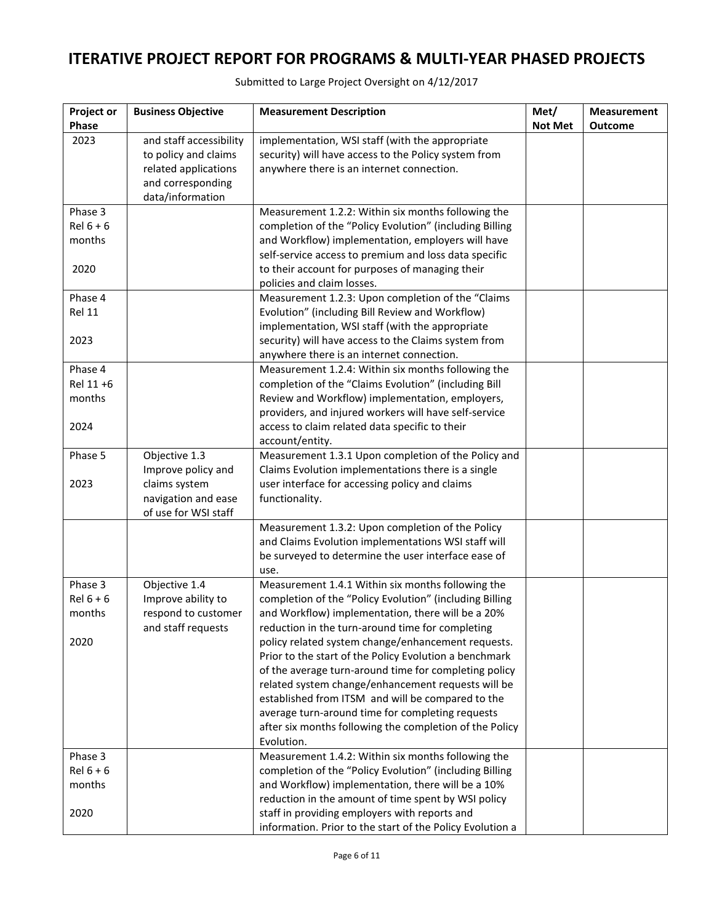| Project or<br>Phase                      | <b>Business Objective</b>                                                                                        | <b>Measurement Description</b>                                                                                                                                                                                                                                                                                                                                                                                                                                                                                                                                                                                                         | Met/<br><b>Not Met</b> | <b>Measurement</b><br><b>Outcome</b> |
|------------------------------------------|------------------------------------------------------------------------------------------------------------------|----------------------------------------------------------------------------------------------------------------------------------------------------------------------------------------------------------------------------------------------------------------------------------------------------------------------------------------------------------------------------------------------------------------------------------------------------------------------------------------------------------------------------------------------------------------------------------------------------------------------------------------|------------------------|--------------------------------------|
| 2023                                     | and staff accessibility<br>to policy and claims<br>related applications<br>and corresponding<br>data/information | implementation, WSI staff (with the appropriate<br>security) will have access to the Policy system from<br>anywhere there is an internet connection.                                                                                                                                                                                                                                                                                                                                                                                                                                                                                   |                        |                                      |
| Phase 3<br>$Rel 6 + 6$<br>months<br>2020 |                                                                                                                  | Measurement 1.2.2: Within six months following the<br>completion of the "Policy Evolution" (including Billing<br>and Workflow) implementation, employers will have<br>self-service access to premium and loss data specific<br>to their account for purposes of managing their<br>policies and claim losses.                                                                                                                                                                                                                                                                                                                           |                        |                                      |
| Phase 4<br><b>Rel 11</b><br>2023         |                                                                                                                  | Measurement 1.2.3: Upon completion of the "Claims<br>Evolution" (including Bill Review and Workflow)<br>implementation, WSI staff (with the appropriate<br>security) will have access to the Claims system from<br>anywhere there is an internet connection.                                                                                                                                                                                                                                                                                                                                                                           |                        |                                      |
| Phase 4<br>Rel 11 +6<br>months<br>2024   |                                                                                                                  | Measurement 1.2.4: Within six months following the<br>completion of the "Claims Evolution" (including Bill<br>Review and Workflow) implementation, employers,<br>providers, and injured workers will have self-service<br>access to claim related data specific to their<br>account/entity.                                                                                                                                                                                                                                                                                                                                            |                        |                                      |
| Phase 5<br>2023                          | Objective 1.3<br>Improve policy and<br>claims system<br>navigation and ease<br>of use for WSI staff              | Measurement 1.3.1 Upon completion of the Policy and<br>Claims Evolution implementations there is a single<br>user interface for accessing policy and claims<br>functionality.                                                                                                                                                                                                                                                                                                                                                                                                                                                          |                        |                                      |
|                                          |                                                                                                                  | Measurement 1.3.2: Upon completion of the Policy<br>and Claims Evolution implementations WSI staff will<br>be surveyed to determine the user interface ease of<br>use.                                                                                                                                                                                                                                                                                                                                                                                                                                                                 |                        |                                      |
| Phase 3<br>$Rel 6 + 6$<br>months<br>2020 | Objective 1.4<br>Improve ability to<br>respond to customer<br>and staff requests                                 | Measurement 1.4.1 Within six months following the<br>completion of the "Policy Evolution" (including Billing<br>and Workflow) implementation, there will be a 20%<br>reduction in the turn-around time for completing<br>policy related system change/enhancement requests.<br>Prior to the start of the Policy Evolution a benchmark<br>of the average turn-around time for completing policy<br>related system change/enhancement requests will be<br>established from ITSM and will be compared to the<br>average turn-around time for completing requests<br>after six months following the completion of the Policy<br>Evolution. |                        |                                      |
| Phase 3<br>$Rel 6 + 6$<br>months<br>2020 |                                                                                                                  | Measurement 1.4.2: Within six months following the<br>completion of the "Policy Evolution" (including Billing<br>and Workflow) implementation, there will be a 10%<br>reduction in the amount of time spent by WSI policy<br>staff in providing employers with reports and<br>information. Prior to the start of the Policy Evolution a                                                                                                                                                                                                                                                                                                |                        |                                      |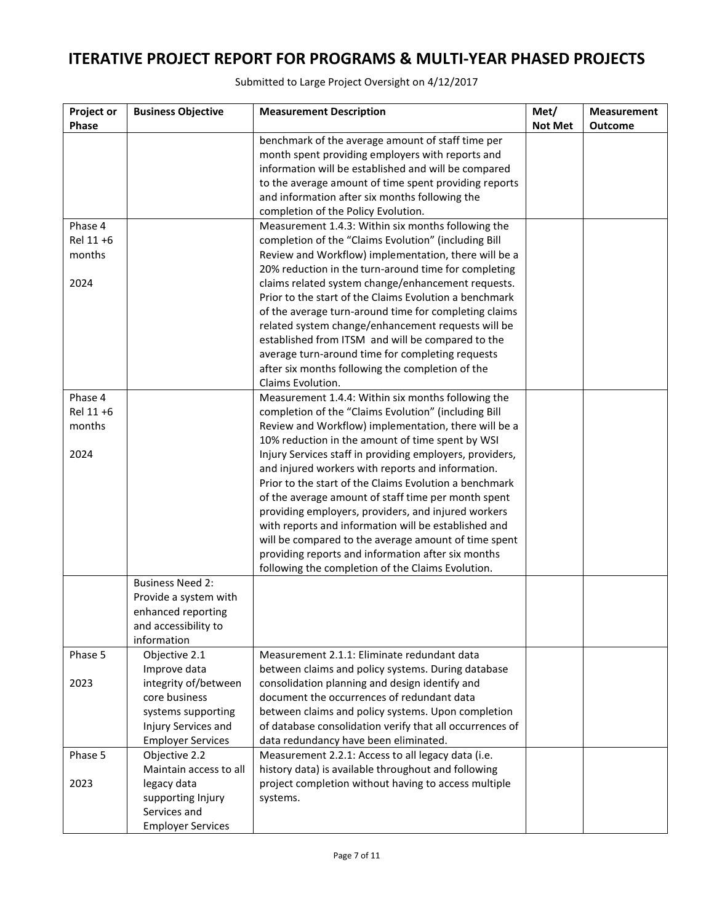Submitted to Large Project Oversight on 4/12/2017

| <b>Project or</b> | <b>Business Objective</b>           | <b>Measurement Description</b>                                                                                                                                                                                                                                                                                  | Met/           | <b>Measurement</b> |
|-------------------|-------------------------------------|-----------------------------------------------------------------------------------------------------------------------------------------------------------------------------------------------------------------------------------------------------------------------------------------------------------------|----------------|--------------------|
| Phase             |                                     |                                                                                                                                                                                                                                                                                                                 | <b>Not Met</b> | <b>Outcome</b>     |
|                   |                                     | benchmark of the average amount of staff time per<br>month spent providing employers with reports and<br>information will be established and will be compared<br>to the average amount of time spent providing reports<br>and information after six months following the<br>completion of the Policy Evolution. |                |                    |
| Phase 4           |                                     | Measurement 1.4.3: Within six months following the                                                                                                                                                                                                                                                              |                |                    |
| Rel 11 +6         |                                     | completion of the "Claims Evolution" (including Bill                                                                                                                                                                                                                                                            |                |                    |
| months            |                                     | Review and Workflow) implementation, there will be a                                                                                                                                                                                                                                                            |                |                    |
| 2024              |                                     | 20% reduction in the turn-around time for completing<br>claims related system change/enhancement requests.                                                                                                                                                                                                      |                |                    |
|                   |                                     | Prior to the start of the Claims Evolution a benchmark                                                                                                                                                                                                                                                          |                |                    |
|                   |                                     | of the average turn-around time for completing claims                                                                                                                                                                                                                                                           |                |                    |
|                   |                                     | related system change/enhancement requests will be                                                                                                                                                                                                                                                              |                |                    |
|                   |                                     | established from ITSM and will be compared to the                                                                                                                                                                                                                                                               |                |                    |
|                   |                                     | average turn-around time for completing requests                                                                                                                                                                                                                                                                |                |                    |
|                   |                                     | after six months following the completion of the                                                                                                                                                                                                                                                                |                |                    |
|                   |                                     | Claims Evolution.                                                                                                                                                                                                                                                                                               |                |                    |
| Phase 4           |                                     | Measurement 1.4.4: Within six months following the                                                                                                                                                                                                                                                              |                |                    |
| Rel 11 +6         |                                     | completion of the "Claims Evolution" (including Bill                                                                                                                                                                                                                                                            |                |                    |
| months            |                                     | Review and Workflow) implementation, there will be a                                                                                                                                                                                                                                                            |                |                    |
| 2024              |                                     | 10% reduction in the amount of time spent by WSI<br>Injury Services staff in providing employers, providers,                                                                                                                                                                                                    |                |                    |
|                   |                                     | and injured workers with reports and information.                                                                                                                                                                                                                                                               |                |                    |
|                   |                                     | Prior to the start of the Claims Evolution a benchmark                                                                                                                                                                                                                                                          |                |                    |
|                   |                                     | of the average amount of staff time per month spent                                                                                                                                                                                                                                                             |                |                    |
|                   |                                     | providing employers, providers, and injured workers                                                                                                                                                                                                                                                             |                |                    |
|                   |                                     | with reports and information will be established and                                                                                                                                                                                                                                                            |                |                    |
|                   |                                     | will be compared to the average amount of time spent                                                                                                                                                                                                                                                            |                |                    |
|                   |                                     | providing reports and information after six months                                                                                                                                                                                                                                                              |                |                    |
|                   |                                     | following the completion of the Claims Evolution.                                                                                                                                                                                                                                                               |                |                    |
|                   | <b>Business Need 2:</b>             |                                                                                                                                                                                                                                                                                                                 |                |                    |
|                   | Provide a system with               |                                                                                                                                                                                                                                                                                                                 |                |                    |
|                   | enhanced reporting                  |                                                                                                                                                                                                                                                                                                                 |                |                    |
|                   | and accessibility to<br>information |                                                                                                                                                                                                                                                                                                                 |                |                    |
| Phase 5           | Objective 2.1                       | Measurement 2.1.1: Eliminate redundant data                                                                                                                                                                                                                                                                     |                |                    |
|                   | Improve data                        | between claims and policy systems. During database                                                                                                                                                                                                                                                              |                |                    |
| 2023              | integrity of/between                | consolidation planning and design identify and                                                                                                                                                                                                                                                                  |                |                    |
|                   | core business                       | document the occurrences of redundant data                                                                                                                                                                                                                                                                      |                |                    |
|                   | systems supporting                  | between claims and policy systems. Upon completion                                                                                                                                                                                                                                                              |                |                    |
|                   | Injury Services and                 | of database consolidation verify that all occurrences of                                                                                                                                                                                                                                                        |                |                    |
|                   | <b>Employer Services</b>            | data redundancy have been eliminated.                                                                                                                                                                                                                                                                           |                |                    |
| Phase 5           | Objective 2.2                       | Measurement 2.2.1: Access to all legacy data (i.e.                                                                                                                                                                                                                                                              |                |                    |
|                   | Maintain access to all              | history data) is available throughout and following                                                                                                                                                                                                                                                             |                |                    |
| 2023              | legacy data                         | project completion without having to access multiple                                                                                                                                                                                                                                                            |                |                    |
|                   | supporting Injury                   | systems.                                                                                                                                                                                                                                                                                                        |                |                    |
|                   | Services and                        |                                                                                                                                                                                                                                                                                                                 |                |                    |
|                   | <b>Employer Services</b>            |                                                                                                                                                                                                                                                                                                                 |                |                    |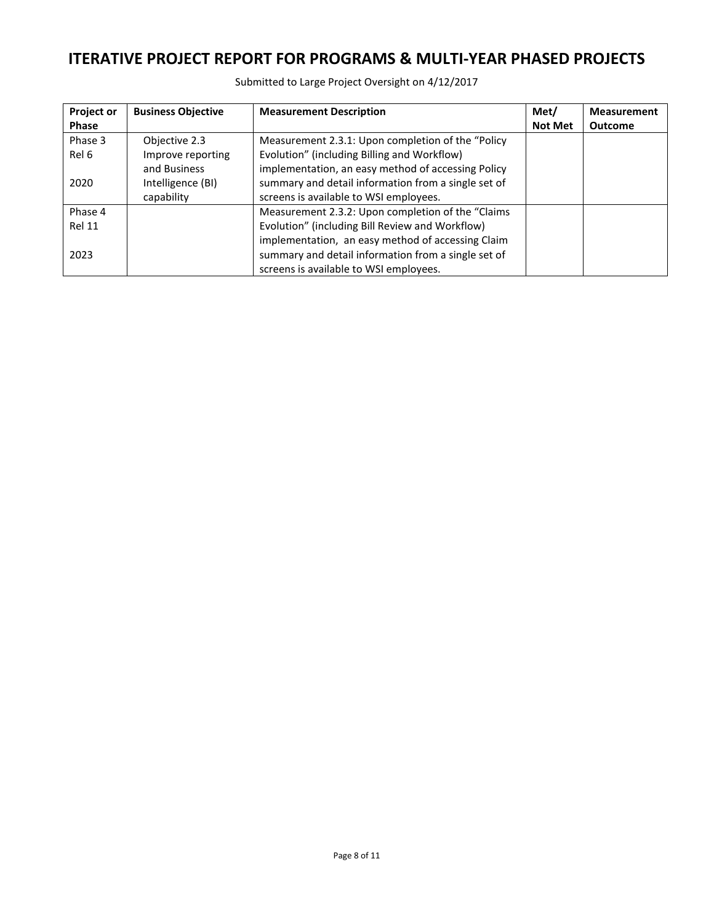Submitted to Large Project Oversight on 4/12/2017

| Project or    | <b>Business Objective</b> | <b>Measurement Description</b>                      | Met/           | <b>Measurement</b> |
|---------------|---------------------------|-----------------------------------------------------|----------------|--------------------|
| <b>Phase</b>  |                           |                                                     | <b>Not Met</b> | <b>Outcome</b>     |
| Phase 3       | Objective 2.3             | Measurement 2.3.1: Upon completion of the "Policy   |                |                    |
| Rel 6         | Improve reporting         | Evolution" (including Billing and Workflow)         |                |                    |
|               | and Business              | implementation, an easy method of accessing Policy  |                |                    |
| 2020          | Intelligence (BI)         | summary and detail information from a single set of |                |                    |
|               | capability                | screens is available to WSI employees.              |                |                    |
| Phase 4       |                           | Measurement 2.3.2: Upon completion of the "Claims"  |                |                    |
| <b>Rel 11</b> |                           | Evolution" (including Bill Review and Workflow)     |                |                    |
|               |                           | implementation, an easy method of accessing Claim   |                |                    |
| 2023          |                           | summary and detail information from a single set of |                |                    |
|               |                           | screens is available to WSI employees.              |                |                    |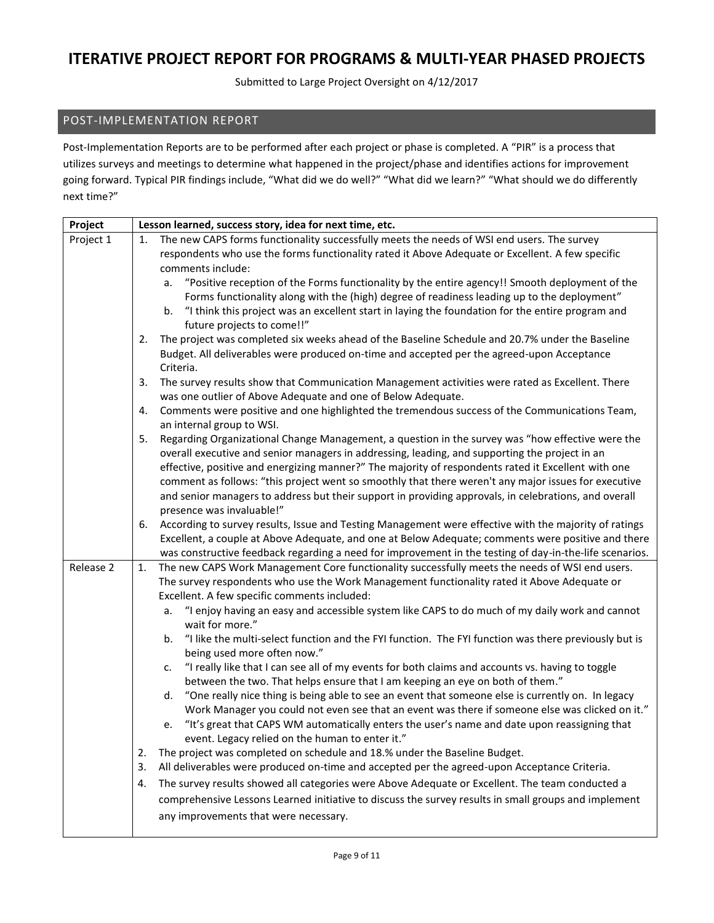Submitted to Large Project Oversight on 4/12/2017

## POST-IMPLEMENTATION REPORT

Post-Implementation Reports are to be performed after each project or phase is completed. A "PIR" is a process that utilizes surveys and meetings to determine what happened in the project/phase and identifies actions for improvement going forward. Typical PIR findings include, "What did we do well?" "What did we learn?" "What should we do differently next time?"

| Project   | Lesson learned, success story, idea for next time, etc.                                                                                                                                                       |
|-----------|---------------------------------------------------------------------------------------------------------------------------------------------------------------------------------------------------------------|
| Project 1 | The new CAPS forms functionality successfully meets the needs of WSI end users. The survey<br>1.                                                                                                              |
|           | respondents who use the forms functionality rated it Above Adequate or Excellent. A few specific                                                                                                              |
|           | comments include:                                                                                                                                                                                             |
|           | "Positive reception of the Forms functionality by the entire agency!! Smooth deployment of the<br>a.                                                                                                          |
|           | Forms functionality along with the (high) degree of readiness leading up to the deployment"                                                                                                                   |
|           | "I think this project was an excellent start in laying the foundation for the entire program and<br>b.                                                                                                        |
|           | future projects to come!!"                                                                                                                                                                                    |
|           | The project was completed six weeks ahead of the Baseline Schedule and 20.7% under the Baseline<br>2.                                                                                                         |
|           | Budget. All deliverables were produced on-time and accepted per the agreed-upon Acceptance<br>Criteria.                                                                                                       |
|           | The survey results show that Communication Management activities were rated as Excellent. There<br>3.                                                                                                         |
|           | was one outlier of Above Adequate and one of Below Adequate.                                                                                                                                                  |
|           | Comments were positive and one highlighted the tremendous success of the Communications Team,<br>4.                                                                                                           |
|           | an internal group to WSI.                                                                                                                                                                                     |
|           | Regarding Organizational Change Management, a question in the survey was "how effective were the<br>5.                                                                                                        |
|           | overall executive and senior managers in addressing, leading, and supporting the project in an                                                                                                                |
|           | effective, positive and energizing manner?" The majority of respondents rated it Excellent with one                                                                                                           |
|           | comment as follows: "this project went so smoothly that there weren't any major issues for executive                                                                                                          |
|           | and senior managers to address but their support in providing approvals, in celebrations, and overall                                                                                                         |
|           | presence was invaluable!"                                                                                                                                                                                     |
|           | According to survey results, Issue and Testing Management were effective with the majority of ratings<br>6.                                                                                                   |
|           | Excellent, a couple at Above Adequate, and one at Below Adequate; comments were positive and there<br>was constructive feedback regarding a need for improvement in the testing of day-in-the-life scenarios. |
| Release 2 | The new CAPS Work Management Core functionality successfully meets the needs of WSI end users.<br>1.                                                                                                          |
|           | The survey respondents who use the Work Management functionality rated it Above Adequate or                                                                                                                   |
|           | Excellent. A few specific comments included:                                                                                                                                                                  |
|           | "I enjoy having an easy and accessible system like CAPS to do much of my daily work and cannot<br>a.                                                                                                          |
|           | wait for more."                                                                                                                                                                                               |
|           | "I like the multi-select function and the FYI function. The FYI function was there previously but is<br>b.                                                                                                    |
|           | being used more often now."                                                                                                                                                                                   |
|           | "I really like that I can see all of my events for both claims and accounts vs. having to toggle<br>c.                                                                                                        |
|           | between the two. That helps ensure that I am keeping an eye on both of them."                                                                                                                                 |
|           | "One really nice thing is being able to see an event that someone else is currently on. In legacy<br>d.                                                                                                       |
|           | Work Manager you could not even see that an event was there if someone else was clicked on it."                                                                                                               |
|           | "It's great that CAPS WM automatically enters the user's name and date upon reassigning that<br>e.                                                                                                            |
|           | event. Legacy relied on the human to enter it."                                                                                                                                                               |
|           | The project was completed on schedule and 18.% under the Baseline Budget.<br>2.                                                                                                                               |
|           | All deliverables were produced on-time and accepted per the agreed-upon Acceptance Criteria.<br>3.                                                                                                            |
|           | The survey results showed all categories were Above Adequate or Excellent. The team conducted a<br>4.                                                                                                         |
|           | comprehensive Lessons Learned initiative to discuss the survey results in small groups and implement                                                                                                          |
|           | any improvements that were necessary.                                                                                                                                                                         |
|           |                                                                                                                                                                                                               |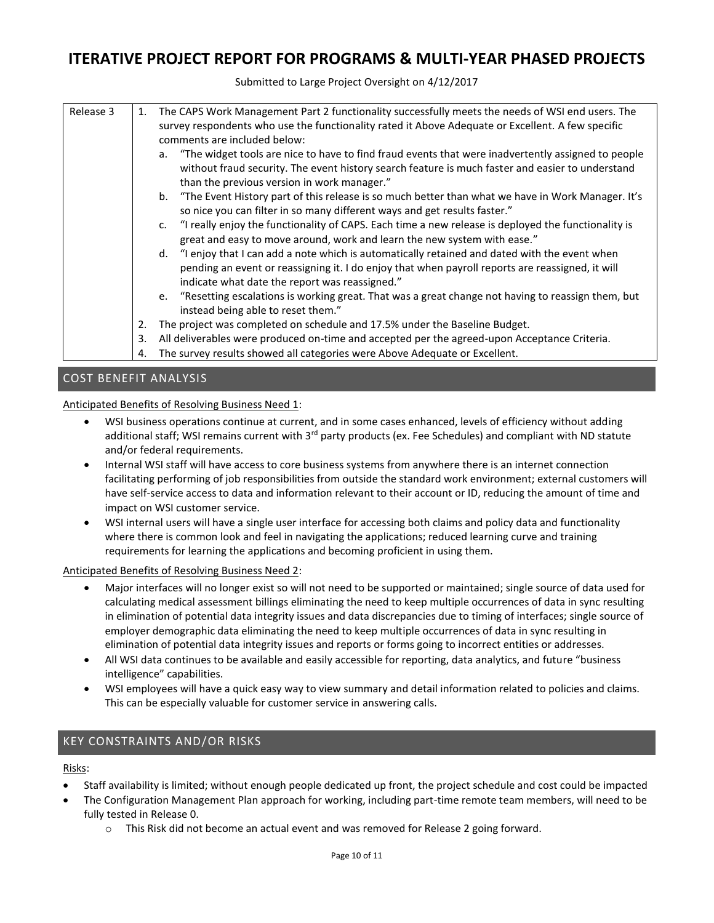Submitted to Large Project Oversight on 4/12/2017

| Release 3 | 1. | The CAPS Work Management Part 2 functionality successfully meets the needs of WSI end users. The<br>survey respondents who use the functionality rated it Above Adequate or Excellent. A few specific<br>comments are included below:                    |
|-----------|----|----------------------------------------------------------------------------------------------------------------------------------------------------------------------------------------------------------------------------------------------------------|
|           |    | a. "The widget tools are nice to have to find fraud events that were inadvertently assigned to people<br>without fraud security. The event history search feature is much faster and easier to understand<br>than the previous version in work manager." |
|           |    | b. "The Event History part of this release is so much better than what we have in Work Manager. It's<br>so nice you can filter in so many different ways and get results faster."                                                                        |
|           |    | c. "I really enjoy the functionality of CAPS. Each time a new release is deployed the functionality is<br>great and easy to move around, work and learn the new system with ease."                                                                       |
|           |    | d. "I enjoy that I can add a note which is automatically retained and dated with the event when<br>pending an event or reassigning it. I do enjoy that when payroll reports are reassigned, it will<br>indicate what date the report was reassigned."    |
|           |    | e. "Resetting escalations is working great. That was a great change not having to reassign them, but<br>instead being able to reset them."                                                                                                               |
|           | 2. | The project was completed on schedule and 17.5% under the Baseline Budget.                                                                                                                                                                               |
|           | 3. | All deliverables were produced on-time and accepted per the agreed-upon Acceptance Criteria.                                                                                                                                                             |
|           | 4. | The survey results showed all categories were Above Adequate or Excellent.                                                                                                                                                                               |

## COST BENEFIT ANALYSIS

Anticipated Benefits of Resolving Business Need 1:

- WSI business operations continue at current, and in some cases enhanced, levels of efficiency without adding additional staff; WSI remains current with 3<sup>rd</sup> party products (ex. Fee Schedules) and compliant with ND statute and/or federal requirements.
- Internal WSI staff will have access to core business systems from anywhere there is an internet connection facilitating performing of job responsibilities from outside the standard work environment; external customers will have self-service access to data and information relevant to their account or ID, reducing the amount of time and impact on WSI customer service.
- WSI internal users will have a single user interface for accessing both claims and policy data and functionality where there is common look and feel in navigating the applications; reduced learning curve and training requirements for learning the applications and becoming proficient in using them.

Anticipated Benefits of Resolving Business Need 2:

- Major interfaces will no longer exist so will not need to be supported or maintained; single source of data used for calculating medical assessment billings eliminating the need to keep multiple occurrences of data in sync resulting in elimination of potential data integrity issues and data discrepancies due to timing of interfaces; single source of employer demographic data eliminating the need to keep multiple occurrences of data in sync resulting in elimination of potential data integrity issues and reports or forms going to incorrect entities or addresses.
- All WSI data continues to be available and easily accessible for reporting, data analytics, and future "business intelligence" capabilities.
- WSI employees will have a quick easy way to view summary and detail information related to policies and claims. This can be especially valuable for customer service in answering calls.

## KEY CONSTRAINTS AND/OR RISKS

Risks:

- Staff availability is limited; without enough people dedicated up front, the project schedule and cost could be impacted
- The Configuration Management Plan approach for working, including part-time remote team members, will need to be fully tested in Release 0.
	- o This Risk did not become an actual event and was removed for Release 2 going forward.